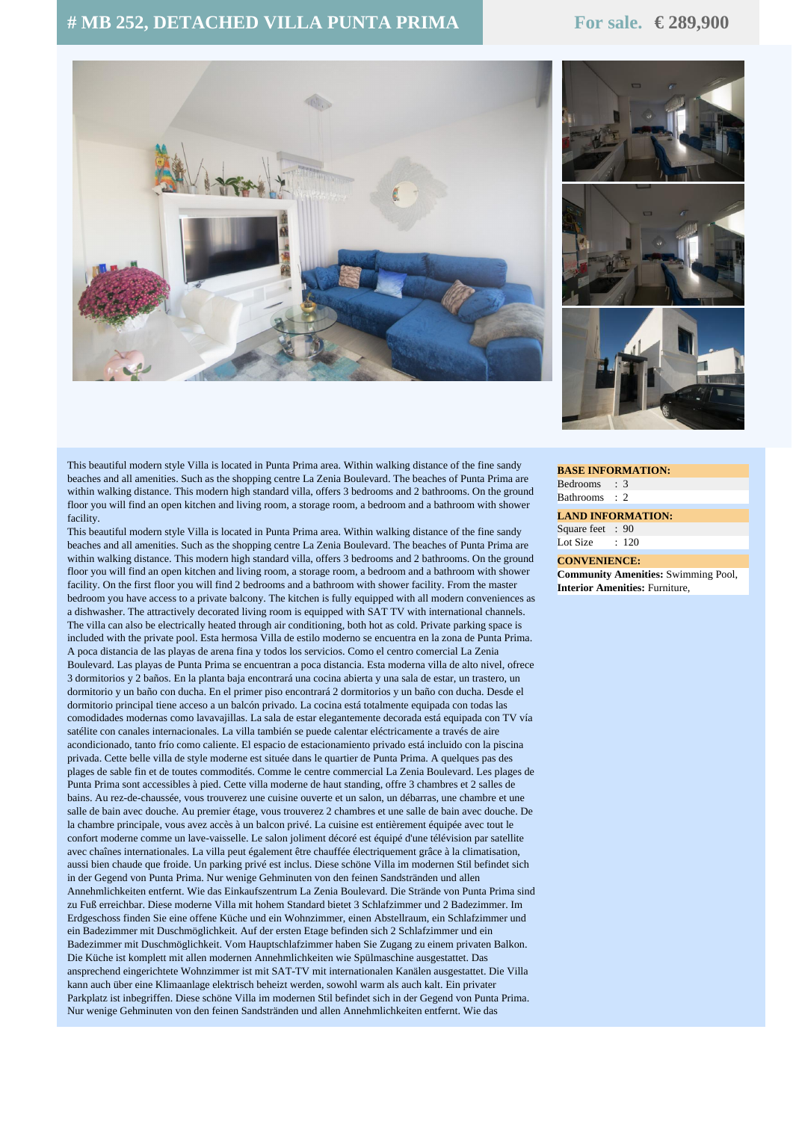## **# MB 252, DETACHED VILLA PUNTA PRIMA For sale. € 289,900**





This beautiful modern style Villa is located in Punta Prima area. Within walking distance of the fine sandy beaches and all amenities. Such as the shopping centre La Zenia Boulevard. The beaches of Punta Prima are within walking distance. This modern high standard villa, offers 3 bedrooms and 2 bathrooms. On the ground floor you will find an open kitchen and living room, a storage room, a bedroom and a bathroom with shower facility.

This beautiful modern style Villa is located in Punta Prima area. Within walking distance of the fine sandy beaches and all amenities. Such as the shopping centre La Zenia Boulevard. The beaches of Punta Prima are within walking distance. This modern high standard villa, offers 3 bedrooms and 2 bathrooms. On the ground floor you will find an open kitchen and living room, a storage room, a bedroom and a bathroom with shower facility. On the first floor you will find 2 bedrooms and a bathroom with shower facility. From the master bedroom you have access to a private balcony. The kitchen is fully equipped with all modern conveniences as a dishwasher. The attractively decorated living room is equipped with SAT TV with international channels. The villa can also be electrically heated through air conditioning, both hot as cold. Private parking space is included with the private pool. Esta hermosa Villa de estilo moderno se encuentra en la zona de Punta Prima. A poca distancia de las playas de arena fina y todos los servicios. Como el centro comercial La Zenia Boulevard. Las playas de Punta Prima se encuentran a poca distancia. Esta moderna villa de alto nivel, ofrece 3 dormitorios y 2 baños. En la planta baja encontrará una cocina abierta y una sala de estar, un trastero, un dormitorio y un baño con ducha. En el primer piso encontrará 2 dormitorios y un baño con ducha. Desde el dormitorio principal tiene acceso a un balcón privado. La cocina está totalmente equipada con todas las comodidades modernas como lavavajillas. La sala de estar elegantemente decorada está equipada con TV vía satélite con canales internacionales. La villa también se puede calentar eléctricamente a través de aire acondicionado, tanto frío como caliente. El espacio de estacionamiento privado está incluido con la piscina privada. Cette belle villa de style moderne est située dans le quartier de Punta Prima. A quelques pas des plages de sable fin et de toutes commodités. Comme le centre commercial La Zenia Boulevard. Les plages de Punta Prima sont accessibles à pied. Cette villa moderne de haut standing, offre 3 chambres et 2 salles de bains. Au rez-de-chaussée, vous trouverez une cuisine ouverte et un salon, un débarras, une chambre et une salle de bain avec douche. Au premier étage, vous trouverez 2 chambres et une salle de bain avec douche. De la chambre principale, vous avez accès à un balcon privé. La cuisine est entièrement équipée avec tout le confort moderne comme un lave-vaisselle. Le salon joliment décoré est équipé d'une télévision par satellite avec chaînes internationales. La villa peut également être chauffée électriquement grâce à la climatisation, aussi bien chaude que froide. Un parking privé est inclus. Diese schöne Villa im modernen Stil befindet sich in der Gegend von Punta Prima. Nur wenige Gehminuten von den feinen Sandstränden und allen Annehmlichkeiten entfernt. Wie das Einkaufszentrum La Zenia Boulevard. Die Strände von Punta Prima sind zu Fuß erreichbar. Diese moderne Villa mit hohem Standard bietet 3 Schlafzimmer und 2 Badezimmer. Im Erdgeschoss finden Sie eine offene Küche und ein Wohnzimmer, einen Abstellraum, ein Schlafzimmer und ein Badezimmer mit Duschmöglichkeit. Auf der ersten Etage befinden sich 2 Schlafzimmer und ein Badezimmer mit Duschmöglichkeit. Vom Hauptschlafzimmer haben Sie Zugang zu einem privaten Balkon. Die Küche ist komplett mit allen modernen Annehmlichkeiten wie Spülmaschine ausgestattet. Das ansprechend eingerichtete Wohnzimmer ist mit SAT-TV mit internationalen Kanälen ausgestattet. Die Villa kann auch über eine Klimaanlage elektrisch beheizt werden, sowohl warm als auch kalt. Ein privater Parkplatz ist inbegriffen. Diese schöne Villa im modernen Stil befindet sich in der Gegend von Punta Prima. Nur wenige Gehminuten von den feinen Sandstränden und allen Annehmlichkeiten entfernt. Wie das

**BASE INFORMATION:** Bedrooms : 3 Bathrooms : 2

**LAND INFORMATION:** Square feet : 90 Lot Size : 120

## **CONVENIENCE:**

**Community Amenities:** Swimming Pool, **Interior Amenities:** Furniture,